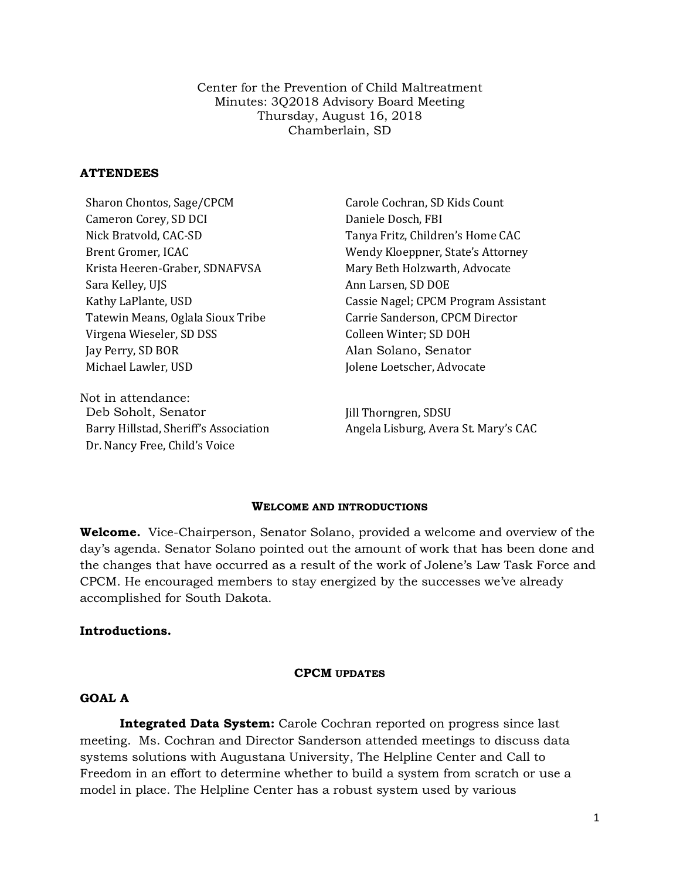Center for the Prevention of Child Maltreatment Minutes: 3Q2018 Advisory Board Meeting Thursday, August 16, 2018 Chamberlain, SD

### **ATTENDEES**

Cameron Corey, SD DCI Daniele Dosch, FBI Nick Bratvold, CAC-SD Tanya Fritz, Children's Home CAC Krista Heeren-Graber, SDNAFVSA Mary Beth Holzwarth, Advocate Sara Kelley, UJS Ann Larsen, SD DOE Tatewin Means, Oglala Sioux Tribe Carrie Sanderson, CPCM Director Virgena Wieseler, SD DSS Colleen Winter; SD DOH Jay Perry, SD BOR Alan Solano, Senator Michael Lawler, USD Jolene Loetscher, Advocate

Not in attendance: Deb Soholt, Senator Jill Thorngren, SDSU Dr. Nancy Free, Child's Voice

Sharon Chontos, Sage/CPCM Carole Cochran, SD Kids Count Brent Gromer, ICAC Wendy Kloeppner, State's Attorney Cassie Nagel; CPCM Program Assistant

Barry Hillstad, Sheriff's Association **Angela Lisburg, Avera St. Mary's CAC** 

#### **WELCOME AND INTRODUCTIONS**

**Welcome.** Vice-Chairperson, Senator Solano, provided a welcome and overview of the day's agenda. Senator Solano pointed out the amount of work that has been done and the changes that have occurred as a result of the work of Jolene's Law Task Force and CPCM. He encouraged members to stay energized by the successes we've already accomplished for South Dakota.

#### **Introductions.**

#### **CPCM UPDATES**

### **GOAL A**

**Integrated Data System:** Carole Cochran reported on progress since last meeting. Ms. Cochran and Director Sanderson attended meetings to discuss data systems solutions with Augustana University, The Helpline Center and Call to Freedom in an effort to determine whether to build a system from scratch or use a model in place. The Helpline Center has a robust system used by various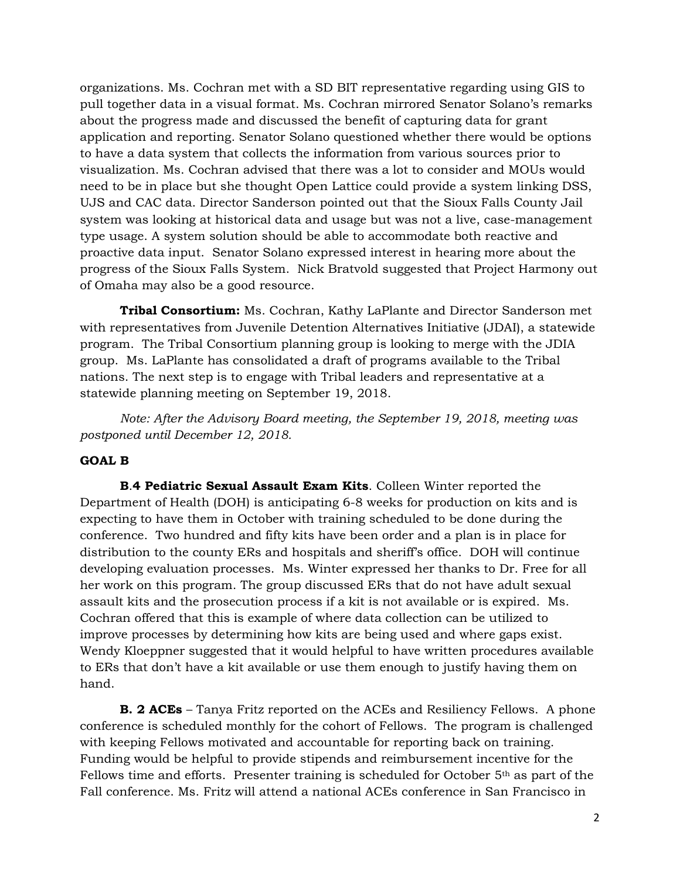organizations. Ms. Cochran met with a SD BIT representative regarding using GIS to pull together data in a visual format. Ms. Cochran mirrored Senator Solano's remarks about the progress made and discussed the benefit of capturing data for grant application and reporting. Senator Solano questioned whether there would be options to have a data system that collects the information from various sources prior to visualization. Ms. Cochran advised that there was a lot to consider and MOUs would need to be in place but she thought Open Lattice could provide a system linking DSS, UJS and CAC data. Director Sanderson pointed out that the Sioux Falls County Jail system was looking at historical data and usage but was not a live, case-management type usage. A system solution should be able to accommodate both reactive and proactive data input. Senator Solano expressed interest in hearing more about the progress of the Sioux Falls System. Nick Bratvold suggested that Project Harmony out of Omaha may also be a good resource.

**Tribal Consortium:** Ms. Cochran, Kathy LaPlante and Director Sanderson met with representatives from Juvenile Detention Alternatives Initiative (JDAI), a statewide program. The Tribal Consortium planning group is looking to merge with the JDIA group. Ms. LaPlante has consolidated a draft of programs available to the Tribal nations. The next step is to engage with Tribal leaders and representative at a statewide planning meeting on September 19, 2018.

*Note: After the Advisory Board meeting, the September 19, 2018, meeting was postponed until December 12, 2018.*

# **GOAL B**

**B**.**4 Pediatric Sexual Assault Exam Kits**. Colleen Winter reported the Department of Health (DOH) is anticipating 6-8 weeks for production on kits and is expecting to have them in October with training scheduled to be done during the conference. Two hundred and fifty kits have been order and a plan is in place for distribution to the county ERs and hospitals and sheriff's office. DOH will continue developing evaluation processes. Ms. Winter expressed her thanks to Dr. Free for all her work on this program. The group discussed ERs that do not have adult sexual assault kits and the prosecution process if a kit is not available or is expired. Ms. Cochran offered that this is example of where data collection can be utilized to improve processes by determining how kits are being used and where gaps exist. Wendy Kloeppner suggested that it would helpful to have written procedures available to ERs that don't have a kit available or use them enough to justify having them on hand.

**B. 2 ACEs** – Tanya Fritz reported on the ACEs and Resiliency Fellows. A phone conference is scheduled monthly for the cohort of Fellows. The program is challenged with keeping Fellows motivated and accountable for reporting back on training. Funding would be helpful to provide stipends and reimbursement incentive for the Fellows time and efforts. Presenter training is scheduled for October  $5<sup>th</sup>$  as part of the Fall conference. Ms. Fritz will attend a national ACEs conference in San Francisco in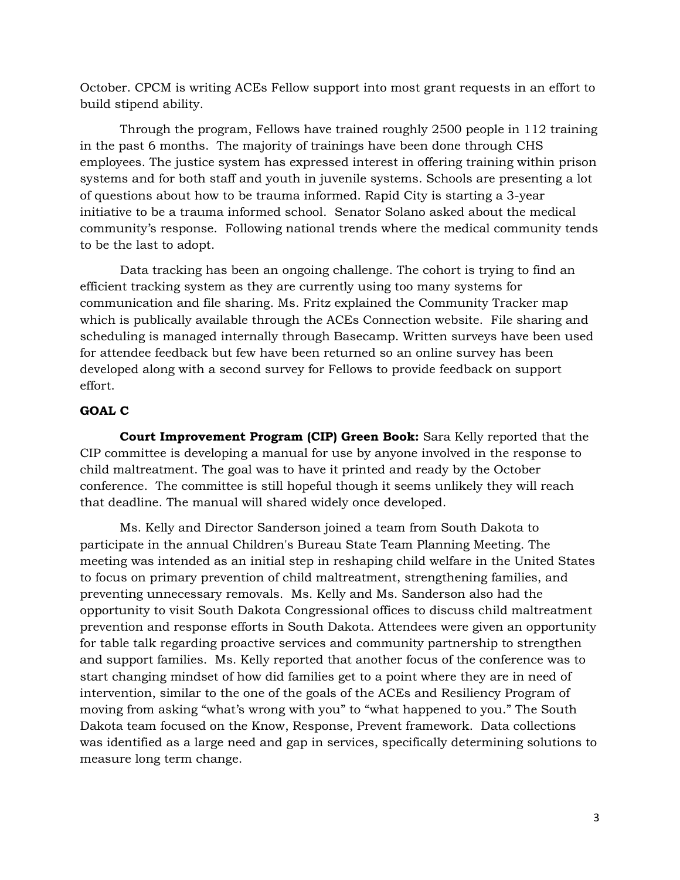October. CPCM is writing ACEs Fellow support into most grant requests in an effort to build stipend ability.

Through the program, Fellows have trained roughly 2500 people in 112 training in the past 6 months. The majority of trainings have been done through CHS employees. The justice system has expressed interest in offering training within prison systems and for both staff and youth in juvenile systems. Schools are presenting a lot of questions about how to be trauma informed. Rapid City is starting a 3-year initiative to be a trauma informed school. Senator Solano asked about the medical community's response. Following national trends where the medical community tends to be the last to adopt.

Data tracking has been an ongoing challenge. The cohort is trying to find an efficient tracking system as they are currently using too many systems for communication and file sharing. Ms. Fritz explained the Community Tracker map which is publically available through the ACEs Connection website. File sharing and scheduling is managed internally through Basecamp. Written surveys have been used for attendee feedback but few have been returned so an online survey has been developed along with a second survey for Fellows to provide feedback on support effort.

# **GOAL C**

**Court Improvement Program (CIP) Green Book:** Sara Kelly reported that the CIP committee is developing a manual for use by anyone involved in the response to child maltreatment. The goal was to have it printed and ready by the October conference. The committee is still hopeful though it seems unlikely they will reach that deadline. The manual will shared widely once developed.

Ms. Kelly and Director Sanderson joined a team from South Dakota to participate in the annual Children's Bureau State Team Planning Meeting. The meeting was intended as an initial step in reshaping child welfare in the United States to focus on primary prevention of child maltreatment, strengthening families, and preventing unnecessary removals. Ms. Kelly and Ms. Sanderson also had the opportunity to visit South Dakota Congressional offices to discuss child maltreatment prevention and response efforts in South Dakota. Attendees were given an opportunity for table talk regarding proactive services and community partnership to strengthen and support families. Ms. Kelly reported that another focus of the conference was to start changing mindset of how did families get to a point where they are in need of intervention, similar to the one of the goals of the ACEs and Resiliency Program of moving from asking "what's wrong with you" to "what happened to you." The South Dakota team focused on the Know, Response, Prevent framework. Data collections was identified as a large need and gap in services, specifically determining solutions to measure long term change.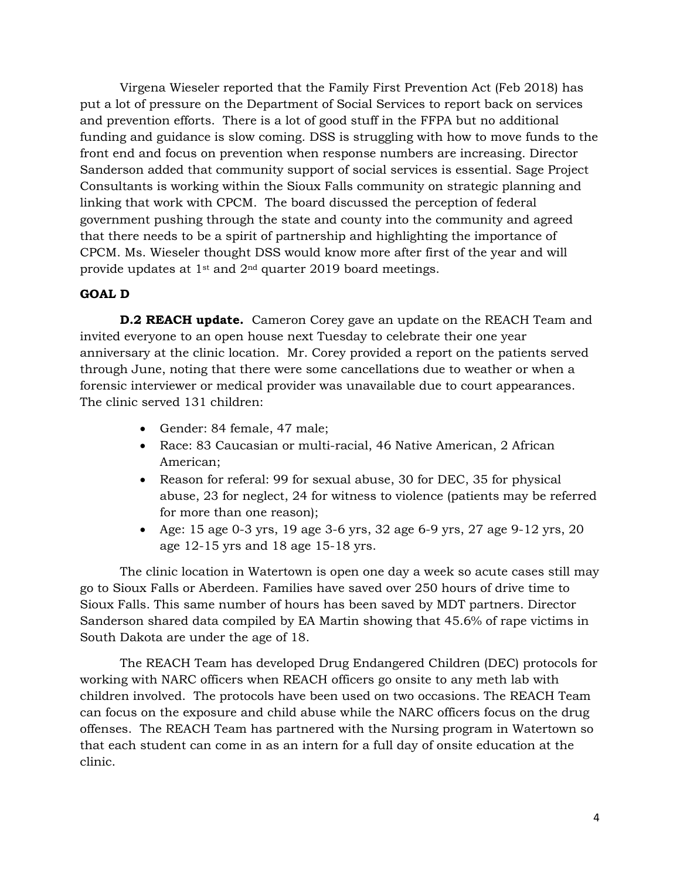Virgena Wieseler reported that the Family First Prevention Act (Feb 2018) has put a lot of pressure on the Department of Social Services to report back on services and prevention efforts. There is a lot of good stuff in the FFPA but no additional funding and guidance is slow coming. DSS is struggling with how to move funds to the front end and focus on prevention when response numbers are increasing. Director Sanderson added that community support of social services is essential. Sage Project Consultants is working within the Sioux Falls community on strategic planning and linking that work with CPCM. The board discussed the perception of federal government pushing through the state and county into the community and agreed that there needs to be a spirit of partnership and highlighting the importance of CPCM. Ms. Wieseler thought DSS would know more after first of the year and will provide updates at 1st and 2nd quarter 2019 board meetings.

# **GOAL D**

**D.2 REACH update.** Cameron Corey gave an update on the REACH Team and invited everyone to an open house next Tuesday to celebrate their one year anniversary at the clinic location. Mr. Corey provided a report on the patients served through June, noting that there were some cancellations due to weather or when a forensic interviewer or medical provider was unavailable due to court appearances. The clinic served 131 children:

- Gender: 84 female, 47 male;
- Race: 83 Caucasian or multi-racial, 46 Native American, 2 African American;
- Reason for referal: 99 for sexual abuse, 30 for DEC, 35 for physical abuse, 23 for neglect, 24 for witness to violence (patients may be referred for more than one reason);
- Age: 15 age 0-3 yrs, 19 age 3-6 yrs, 32 age 6-9 yrs, 27 age 9-12 yrs, 20 age 12-15 yrs and 18 age 15-18 yrs.

The clinic location in Watertown is open one day a week so acute cases still may go to Sioux Falls or Aberdeen. Families have saved over 250 hours of drive time to Sioux Falls. This same number of hours has been saved by MDT partners. Director Sanderson shared data compiled by EA Martin showing that 45.6% of rape victims in South Dakota are under the age of 18.

The REACH Team has developed Drug Endangered Children (DEC) protocols for working with NARC officers when REACH officers go onsite to any meth lab with children involved. The protocols have been used on two occasions. The REACH Team can focus on the exposure and child abuse while the NARC officers focus on the drug offenses. The REACH Team has partnered with the Nursing program in Watertown so that each student can come in as an intern for a full day of onsite education at the clinic.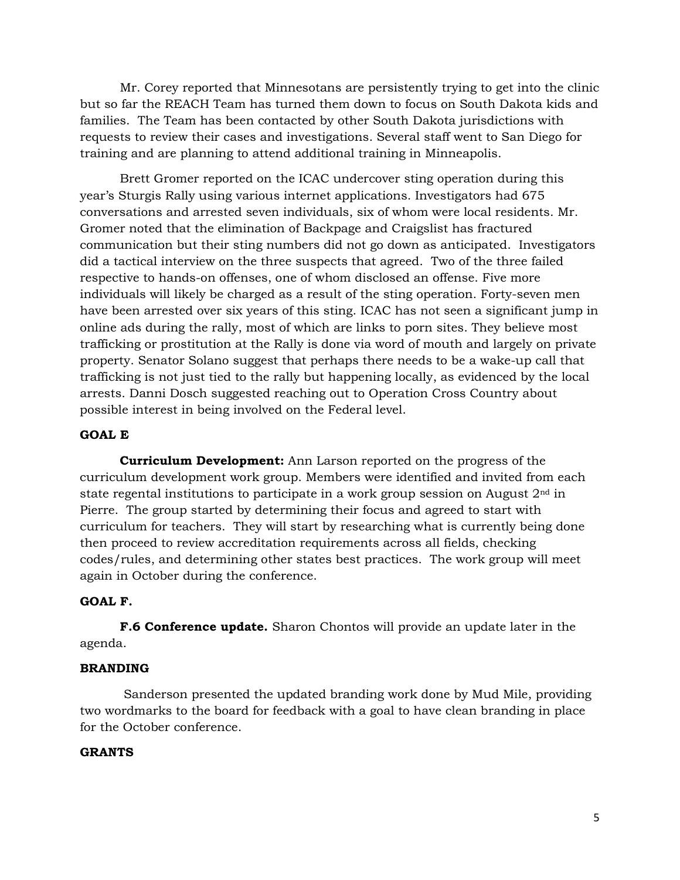Mr. Corey reported that Minnesotans are persistently trying to get into the clinic but so far the REACH Team has turned them down to focus on South Dakota kids and families. The Team has been contacted by other South Dakota jurisdictions with requests to review their cases and investigations. Several staff went to San Diego for training and are planning to attend additional training in Minneapolis.

Brett Gromer reported on the ICAC undercover sting operation during this year's Sturgis Rally using various internet applications. Investigators had 675 conversations and arrested seven individuals, six of whom were local residents. Mr. Gromer noted that the elimination of Backpage and Craigslist has fractured communication but their sting numbers did not go down as anticipated. Investigators did a tactical interview on the three suspects that agreed. Two of the three failed respective to hands-on offenses, one of whom disclosed an offense. Five more individuals will likely be charged as a result of the sting operation. Forty-seven men have been arrested over six years of this sting. ICAC has not seen a significant jump in online ads during the rally, most of which are links to porn sites. They believe most trafficking or prostitution at the Rally is done via word of mouth and largely on private property. Senator Solano suggest that perhaps there needs to be a wake-up call that trafficking is not just tied to the rally but happening locally, as evidenced by the local arrests. Danni Dosch suggested reaching out to Operation Cross Country about possible interest in being involved on the Federal level.

# **GOAL E**

**Curriculum Development:** Ann Larson reported on the progress of the curriculum development work group. Members were identified and invited from each state regental institutions to participate in a work group session on August  $2<sup>nd</sup>$  in Pierre. The group started by determining their focus and agreed to start with curriculum for teachers. They will start by researching what is currently being done then proceed to review accreditation requirements across all fields, checking codes/rules, and determining other states best practices. The work group will meet again in October during the conference.

### **GOAL F.**

**F.6 Conference update.** Sharon Chontos will provide an update later in the agenda.

### **BRANDING**

Sanderson presented the updated branding work done by Mud Mile, providing two wordmarks to the board for feedback with a goal to have clean branding in place for the October conference.

### **GRANTS**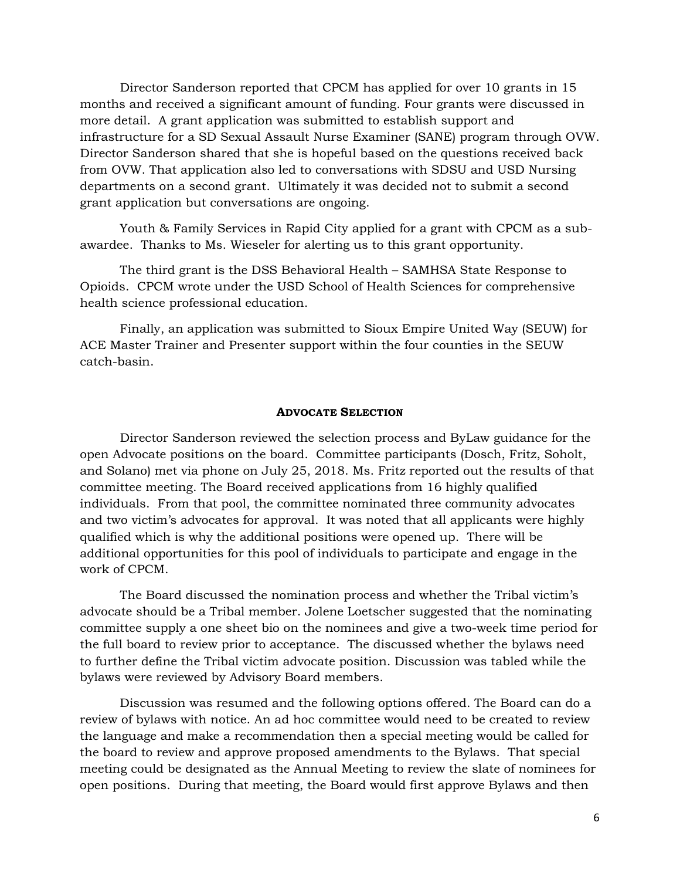Director Sanderson reported that CPCM has applied for over 10 grants in 15 months and received a significant amount of funding. Four grants were discussed in more detail. A grant application was submitted to establish support and infrastructure for a SD Sexual Assault Nurse Examiner (SANE) program through OVW. Director Sanderson shared that she is hopeful based on the questions received back from OVW. That application also led to conversations with SDSU and USD Nursing departments on a second grant. Ultimately it was decided not to submit a second grant application but conversations are ongoing.

Youth & Family Services in Rapid City applied for a grant with CPCM as a subawardee. Thanks to Ms. Wieseler for alerting us to this grant opportunity.

The third grant is the DSS Behavioral Health – SAMHSA State Response to Opioids. CPCM wrote under the USD School of Health Sciences for comprehensive health science professional education.

Finally, an application was submitted to Sioux Empire United Way (SEUW) for ACE Master Trainer and Presenter support within the four counties in the SEUW catch-basin.

#### **ADVOCATE SELECTION**

Director Sanderson reviewed the selection process and ByLaw guidance for the open Advocate positions on the board. Committee participants (Dosch, Fritz, Soholt, and Solano) met via phone on July 25, 2018. Ms. Fritz reported out the results of that committee meeting. The Board received applications from 16 highly qualified individuals. From that pool, the committee nominated three community advocates and two victim's advocates for approval. It was noted that all applicants were highly qualified which is why the additional positions were opened up. There will be additional opportunities for this pool of individuals to participate and engage in the work of CPCM.

The Board discussed the nomination process and whether the Tribal victim's advocate should be a Tribal member. Jolene Loetscher suggested that the nominating committee supply a one sheet bio on the nominees and give a two-week time period for the full board to review prior to acceptance. The discussed whether the bylaws need to further define the Tribal victim advocate position. Discussion was tabled while the bylaws were reviewed by Advisory Board members.

Discussion was resumed and the following options offered. The Board can do a review of bylaws with notice. An ad hoc committee would need to be created to review the language and make a recommendation then a special meeting would be called for the board to review and approve proposed amendments to the Bylaws. That special meeting could be designated as the Annual Meeting to review the slate of nominees for open positions. During that meeting, the Board would first approve Bylaws and then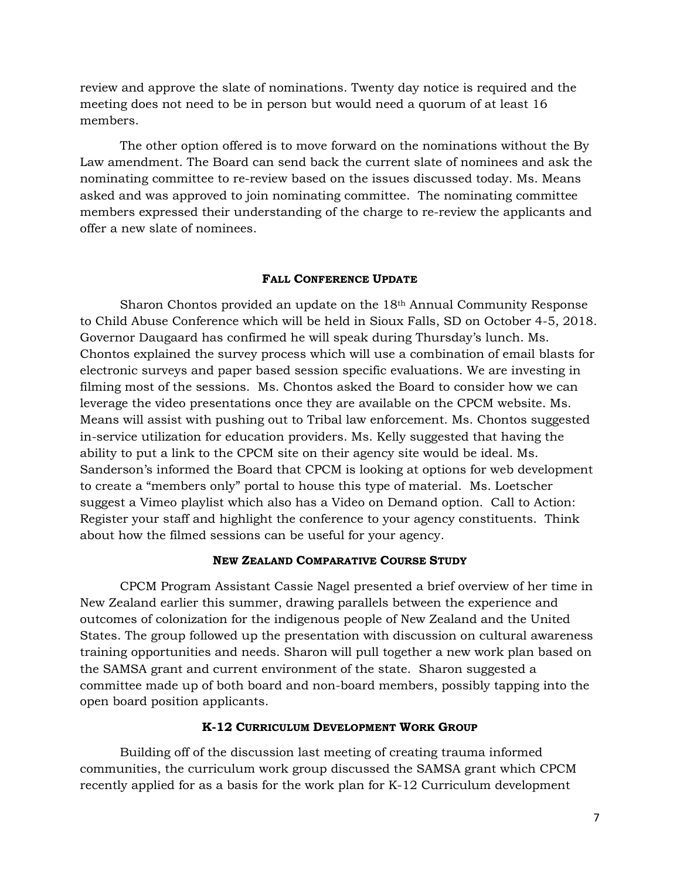review and approve the slate of nominations. Twenty day notice is required and the meeting does not need to be in person but would need a quorum of at least 16 members.

The other option offered is to move forward on the nominations without the By Law amendment. The Board can send back the current slate of nominees and ask the nominating committee to re-review based on the issues discussed today. Ms. Means asked and was approved to join nominating committee. The nominating committee members expressed their understanding of the charge to re-review the applicants and offer a new slate of nominees.

#### **FALL CONFERENCE UPDATE**

Sharon Chontos provided an update on the 18th Annual Community Response to Child Abuse Conference which will be held in Sioux Falls, SD on October 4-5, 2018. Governor Daugaard has confirmed he will speak during Thursday's lunch. Ms. Chontos explained the survey process which will use a combination of email blasts for electronic surveys and paper based session specific evaluations. We are investing in filming most of the sessions. Ms. Chontos asked the Board to consider how we can leverage the video presentations once they are available on the CPCM website. Ms. Means will assist with pushing out to Tribal law enforcement. Ms. Chontos suggested in-service utilization for education providers. Ms. Kelly suggested that having the ability to put a link to the CPCM site on their agency site would be ideal. Ms. Sanderson's informed the Board that CPCM is looking at options for web development to create a "members only" portal to house this type of material. Ms. Loetscher suggest a Vimeo playlist which also has a Video on Demand option. Call to Action: Register your staff and highlight the conference to your agency constituents. Think about how the filmed sessions can be useful for your agency.

#### **NEW ZEALAND COMPARATIVE COURSE STUDY**

CPCM Program Assistant Cassie Nagel presented a brief overview of her time in New Zealand earlier this summer, drawing parallels between the experience and outcomes of colonization for the indigenous people of New Zealand and the United States. The group followed up the presentation with discussion on cultural awareness training opportunities and needs. Sharon will pull together a new work plan based on the SAMSA grant and current environment of the state. Sharon suggested a committee made up of both board and non-board members, possibly tapping into the open board position applicants.

### **K-12 CURRICULUM DEVELOPMENT WORK GROUP**

Building off of the discussion last meeting of creating trauma informed communities, the curriculum work group discussed the SAMSA grant which CPCM recently applied for as a basis for the work plan for K-12 Curriculum development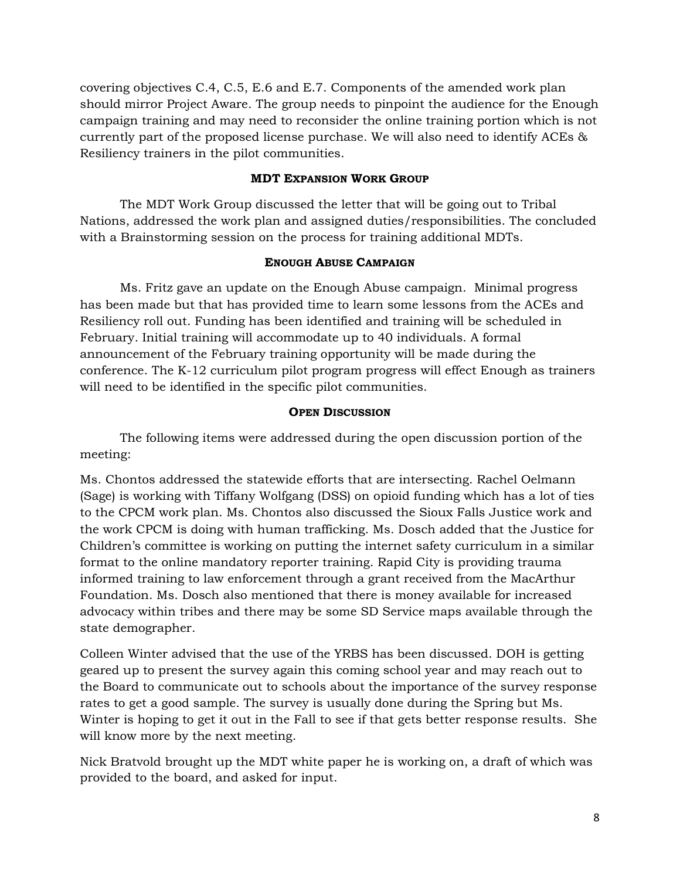covering objectives C.4, C.5, E.6 and E.7. Components of the amended work plan should mirror Project Aware. The group needs to pinpoint the audience for the Enough campaign training and may need to reconsider the online training portion which is not currently part of the proposed license purchase. We will also need to identify ACEs & Resiliency trainers in the pilot communities.

# **MDT EXPANSION WORK GROUP**

The MDT Work Group discussed the letter that will be going out to Tribal Nations, addressed the work plan and assigned duties/responsibilities. The concluded with a Brainstorming session on the process for training additional MDTs.

### **ENOUGH ABUSE CAMPAIGN**

Ms. Fritz gave an update on the Enough Abuse campaign. Minimal progress has been made but that has provided time to learn some lessons from the ACEs and Resiliency roll out. Funding has been identified and training will be scheduled in February. Initial training will accommodate up to 40 individuals. A formal announcement of the February training opportunity will be made during the conference. The K-12 curriculum pilot program progress will effect Enough as trainers will need to be identified in the specific pilot communities.

## **OPEN DISCUSSION**

The following items were addressed during the open discussion portion of the meeting:

Ms. Chontos addressed the statewide efforts that are intersecting. Rachel Oelmann (Sage) is working with Tiffany Wolfgang (DSS) on opioid funding which has a lot of ties to the CPCM work plan. Ms. Chontos also discussed the Sioux Falls Justice work and the work CPCM is doing with human trafficking. Ms. Dosch added that the Justice for Children's committee is working on putting the internet safety curriculum in a similar format to the online mandatory reporter training. Rapid City is providing trauma informed training to law enforcement through a grant received from the MacArthur Foundation. Ms. Dosch also mentioned that there is money available for increased advocacy within tribes and there may be some SD Service maps available through the state demographer.

Colleen Winter advised that the use of the YRBS has been discussed. DOH is getting geared up to present the survey again this coming school year and may reach out to the Board to communicate out to schools about the importance of the survey response rates to get a good sample. The survey is usually done during the Spring but Ms. Winter is hoping to get it out in the Fall to see if that gets better response results. She will know more by the next meeting.

Nick Bratvold brought up the MDT white paper he is working on, a draft of which was provided to the board, and asked for input.